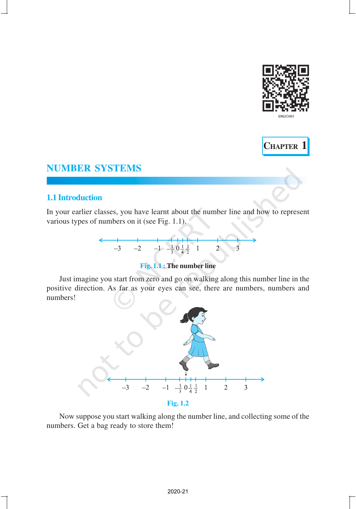



## **1.1 Introduction**

In your earlier classes, you have learnt about the number line and how to represent various types of numbers on it (see Fig. 1.1).



# **Fig. 1.1 : The number line**

Just imagine you start from zero and go on walking along this number line in the positive direction. As far as your eyes can see, there are numbers, numbers and numbers!



Now suppose you start walking along the number line, and collecting some of the numbers. Get a bag ready to store them!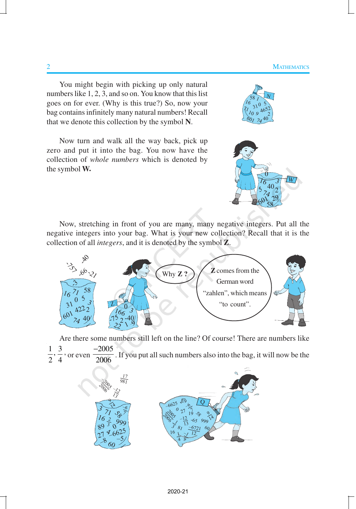You might begin with picking up only natural numbers like 1, 2, 3, and so on. You know that this list goes on for ever. (Why is this true?) So, now your bag contains infinitely many natural numbers! Recall that we denote this collection by the symbol **N**.

Now turn and walk all the way back, pick up zero and put it into the bag. You now have the collection of *whole numbers* which is denoted by the symbol **W.**





Now, stretching in front of you are many, many negative integers. Put all the negative integers into your bag. What is your new collection? Recall that it is the collection of all *integers*, and it is denoted by the symbol **Z**.



Are there some numbers still left on the line? Of course! There are numbers like  $\frac{1}{2}$ ,  $\frac{3}{4}$ 2 4 , or even − . If you put all such numbers also into the bag, it will now be the

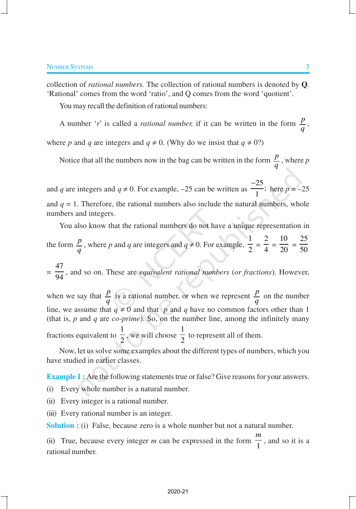collection of *rational numbers.* The collection of rational numbers is denoted by **Q**. 'Rational' comes from the word 'ratio', and Q comes from the word 'quotient'.

You may recall the definition of rational numbers:

A number '*r*' is called a *rational number*, if it can be written in the form  $\frac{p}{q}$ ,

where *p* and *q* are integers and  $q \neq 0$ . (Why do we insist that  $q \neq 0$ ?)

Notice that all the numbers now in the bag can be written in the form  $\frac{p}{q}$ , where *p* 

and *q* are integers and  $q \neq 0$ . For example, -25 can be written as  $\frac{-25}{1}$ ; 1 − here  $p = -25$ and  $q = 1$ . Therefore, the rational numbers also include the natural numbers, whole

numbers and integers.

You also know that the rational numbers do not have a unique representation in the form  $\frac{p}{q}$ , where *p* and *q* are integers and  $q \neq 0$ . For example, 1  $\frac{1}{2}$  = 2  $\frac{1}{4}$  = 10  $\frac{1}{20}$  = 25 50

= 47 <sup>94</sup> , and so on. These are *equivalent rational numbers* (*or fractions*). However,

when we say that  $\frac{p}{q}$  is a rational number, or when we represent  $\frac{p}{q}$  on the number line, we assume that  $q \neq 0$  and that *p* and *q* have no common factors other than 1 (that is, *p* and *q* are *co*-*prime*). So, on the number line, among the infinitely many

fractions equivalent to 1  $\overline{2}$ , we will choose 1  $\frac{1}{2}$  to represent all of them.

Now, let us solve some examples about the different types of numbers, which you have studied in earlier classes.

**Example 1 :** Are the following statements true or false? Give reasons for your answers.

(i) Every whole number is a natural number.

(ii) Every integer is a rational number.

(iii) Every rational number is an integer.

**Solution :** (i) False, because zero is a whole number but not a natural number.

(ii) True, because every integer  $m$  can be expressed in the form  $\frac{1}{1}$ *m* , and so it is a rational number.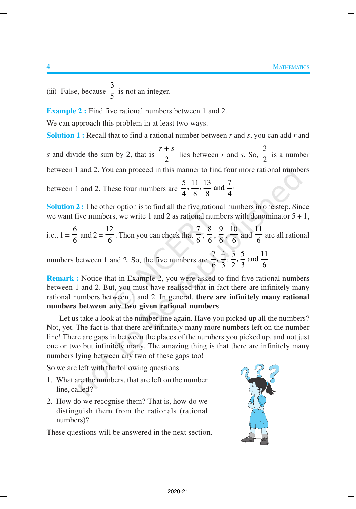(iii) False, because 3  $\frac{1}{5}$  is not an integer.

**Example 2 :** Find five rational numbers between 1 and 2.

We can approach this problem in at least two ways.

**Solution 1 :** Recall that to find a rational number between *r* and *s*, you can add *r* and

*s* and divide the sum by 2, that is  $\frac{1}{2}$  $r + s$  lies between *r* and *s*. So, 3  $\frac{1}{2}$  is a number between 1 and 2. You can proceed in this manner to find four more rational numbers

between 1 and 2. These four numbers are  $\frac{5}{1}, \frac{11}{9}, \frac{13}{9}$  and  $\frac{7}{1}$ . 4 8 8 4

**Solution 2 :** The other option is to find all the five rational numbers in one step. Since we want five numbers, we write 1 and 2 as rational numbers with denominator  $5 + 1$ ,

i.e., 
$$
1 = \frac{6}{6}
$$
 and  $2 = \frac{12}{6}$ . Then you can check that  $\frac{7}{6}, \frac{8}{6}, \frac{9}{6}, \frac{10}{6}$  and  $\frac{11}{6}$  are all rational

numbers between 1 and 2. So, the five numbers are  $\frac{7}{6}, \frac{4}{3}, \frac{3}{2}, \frac{5}{3}$  and  $\frac{11}{6}$ .

**Remark :** Notice that in Example 2, you were asked to find five rational numbers between 1 and 2. But, you must have realised that in fact there are infinitely many rational numbers between 1 and 2. In general, **there are infinitely many rational numbers between any two given rational numbers**.

Let us take a look at the number line again. Have you picked up all the numbers? Not, yet. The fact is that there are infinitely many more numbers left on the number line! There are gaps in between the places of the numbers you picked up, and not just one or two but infinitely many. The amazing thing is that there are infinitely many numbers lying between any two of these gaps too!

So we are left with the following questions:

- 1. What are the numbers, that are left on the number line, called?
- 2. How do we recognise them? That is, how do we distinguish them from the rationals (rational numbers)?

These questions will be answered in the next section.

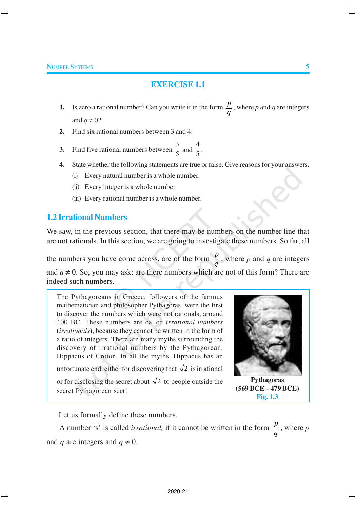# **EXERCISE 1.1**

- **1.** Is zero a rational number? Can you write it in the form  $\frac{p}{q}$ , where *p* and *q* are integers and  $q \neq 0$ ?
- **2.** Find six rational numbers between 3 and 4.
- **3.** Find five rational numbers between  $\frac{3}{5}$  $\frac{3}{5}$  and  $\frac{4}{5}$  $\frac{1}{5}$ .
- **4.** State whether the following statements are true or false. Give reasons for your answers.
	- (i) Every natural number is a whole number.
	- (ii) Every integer is a whole number.
	- (iii) Every rational number is a whole number.

## **1.2 Irrational Numbers**

We saw, in the previous section, that there may be numbers on the number line that are not rationals. In this section, we are going to investigate these numbers. So far, all

the numbers you have come across, are of the form  $\frac{p}{q}$ , where p and q are integers and  $q \neq 0$ . So, you may ask: are there numbers which are not of this form? There are indeed such numbers.

The Pythagoreans in Greece, followers of the famous mathematician and philosopher Pythagoras, were the first to discover the numbers which were not rationals, around 400 BC. These numbers are called *irrational numbers* (*irrationals*), because they cannot be written in the form of a ratio of integers. There are many myths surrounding the discovery of irrational numbers by the Pythagorean, Hippacus of Croton. In all the myths, Hippacus has an unfortunate end, either for discovering that  $\sqrt{2}$  is irrational or for disclosing the secret about  $\sqrt{2}$  to people outside the secret Pythagorean sect!



**Pythagoras (569 BCE – 479 BCE) Fig. 1.3**

Let us formally define these numbers.

A number 's' is called *irrational*, if it cannot be written in the form  $\frac{p}{q}$ , where *p* and *q* are integers and  $q \neq 0$ .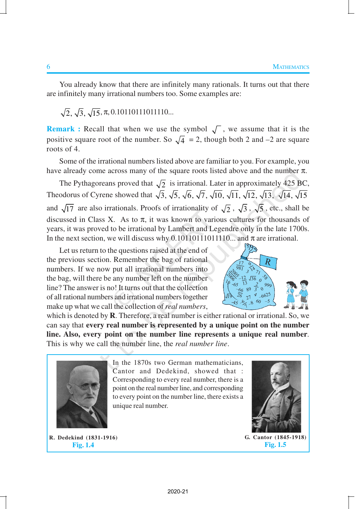You already know that there are infinitely many rationals. It turns out that there are infinitely many irrational numbers too. Some examples are:

 $\sqrt{2}$ ,  $\sqrt{3}$ ,  $\sqrt{15}$ ,  $\pi$ , 0.10110111011110...

**Remark :** Recall that when we use the symbol  $\sqrt{\ }$ , we assume that it is the positive square root of the number. So  $\sqrt{4}$  = 2, though both 2 and -2 are square roots of 4.

Some of the irrational numbers listed above are familiar to you. For example, you have already come across many of the square roots listed above and the number  $\pi$ .

The Pythagoreans proved that  $\sqrt{2}$  is irrational. Later in approximately 425 BC, Theodorus of Cyrene showed that  $\sqrt{3}$ ,  $\sqrt{5}$ ,  $\sqrt{6}$ ,  $\sqrt{7}$ ,  $\sqrt{10}$ ,  $\sqrt{11}$ ,  $\sqrt{12}$ ,  $\sqrt{13}$ ,  $\sqrt{14}$ ,  $\sqrt{15}$ and  $\sqrt{17}$  are also irrationals. Proofs of irrationality of  $\sqrt{2}$ ,  $\sqrt{3}$ ,  $\sqrt{5}$ , etc., shall be discussed in Class X. As to  $\pi$ , it was known to various cultures for thousands of years, it was proved to be irrational by Lambert and Legendre only in the late 1700s. In the next section, we will discuss why  $0.1011011110...$  and  $\pi$  are irrational.

Let us return to the questions raised at the end of the previous section. Remember the bag of rational numbers. If we now put all irrational numbers into the bag, will there be any number left on the number line? The answer is no! It turns out that the collection of all rational numbers and irrational numbers together make up what we call the collection of *real numbers*,



which is denoted by **R**. Therefore, a real number is either rational or irrational. So, we can say that **every real number is represented by a unique point on the number line. Also, every point on the number line represents a unique real number***.* This is why we call the number line, the *real number line*.



In the 1870s two German mathematicians, Cantor and Dedekind, showed that : Corresponding to every real number, there is a point on the real number line, and corresponding to every point on the number line, there exists a unique real number.

**R. Dedekind (1831-1916) Fig. 1.4**

**G. Cantor (1845-1918) Fig. 1.5**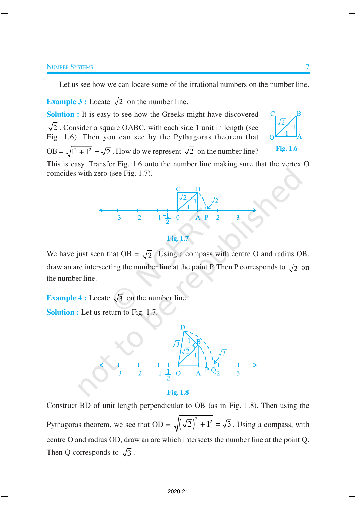#### Number Systems 7 and 2008 and 2008 and 2008 and 2008 and 2008 and 2008 and 2008 and 2008 and 2008 and 2008 and 2008 and 2008 and 2008 and 2008 and 2008 and 2008 and 2008 and 2008 and 2008 and 2008 and 2008 and 2008 and 200

Let us see how we can locate some of the irrational numbers on the number line.

**Example 3 :** Locate  $\sqrt{2}$  on the number line. **Solution :** It is easy to see how the Greeks might have discovered  $\sqrt{2}$ . Consider a square OABC, with each side 1 unit in length (see Fig. 1.6). Then you can see by the Pythagoras theorem that OB =  $\sqrt{1^2 + 1^2}$  =  $\sqrt{2}$ . How do we represent  $\sqrt{2}$  on the number line? This is easy. Transfer Fig. 1.6 onto the number line making sure that the vertex O coincides with zero (see Fig. 1.7). **Fig. 1.6**



**Fig. 1.7**

We have just seen that  $OB = \sqrt{2}$ . Using a compass with centre O and radius OB, draw an arc intersecting the number line at the point P. Then P corresponds to  $\sqrt{2}$  on the number line.

**Example 4 :** Locate  $\sqrt{3}$  on the number line. **Solution :** Let us return to Fig. 1.7.



Construct BD of unit length perpendicular to OB (as in Fig. 1.8). Then using the Pythagoras theorem, we see that  $OD = \sqrt{(\sqrt{2})^2 + 1^2} = \sqrt{3}$ . Using a compass, with centre O and radius OD, draw an arc which intersects the number line at the point Q. Then Q corresponds to  $\sqrt{3}$ .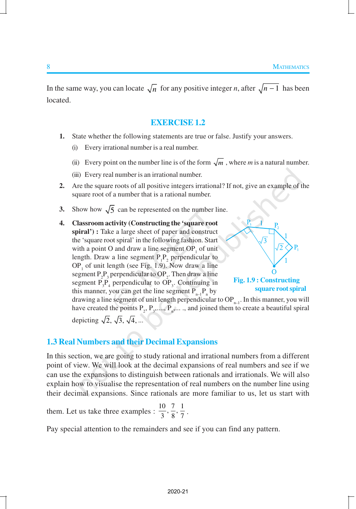In the same way, you can locate  $\sqrt{n}$  for any positive integer *n*, after  $\sqrt{n-1}$  has been located.

## **EXERCISE 1.2**

- **1.** State whether the following statements are true or false. Justify your answers.
	- (i) Every irrational number is a real number.
	- (ii) Every point on the number line is of the form  $\sqrt{m}$ , where *m* is a natural number.
	- (iii) Every real number is an irrational number.
- **2.** Are the square roots of all positive integers irrational? If not, give an example of the square root of a number that is a rational number.
- **3.** Show how  $\sqrt{5}$  can be represented on the number line.
- **4. Classroom activity (Constructing the 'square root spiral') :** Take a large sheet of paper and construct the 'square root spiral' in the following fashion. Start with a point O and draw a line segment  $OP_1$  of unit length. Draw a line segment  $P_1P_2$  perpendicular to  $OP_1$  of unit length (see Fig. 1.9). Now draw a line segment  $P_2P_3$  perpendicular to  $OP_2$ . Then draw a line segment  $P_3P_4$  perpendicular to  $OP_3$ . Continuing in this manner, you can get the line segment  $P_{n-1}P_n$  by



**square root spiral**

drawing a line segment of unit length perpendicular to  $OP_{n-1}$ . In this manner, you will have created the points  $P_2, P_3, \ldots, P_n, \ldots$ , and joined them to create a beautiful spiral depicting  $\sqrt{2}$ ,  $\sqrt{3}$ ,  $\sqrt{4}$ , ...

## **1.3 Real Numbers and their Decimal Expansions**

In this section, we are going to study rational and irrational numbers from a different point of view. We will look at the decimal expansions of real numbers and see if we can use the expansions to distinguish between rationals and irrationals. We will also explain how to visualise the representation of real numbers on the number line using their decimal expansions. Since rationals are more familiar to us, let us start with

them. Let us take three examples :  $\frac{10}{3}, \frac{7}{8}, \frac{1}{7}$ .

Pay special attention to the remainders and see if you can find any pattern.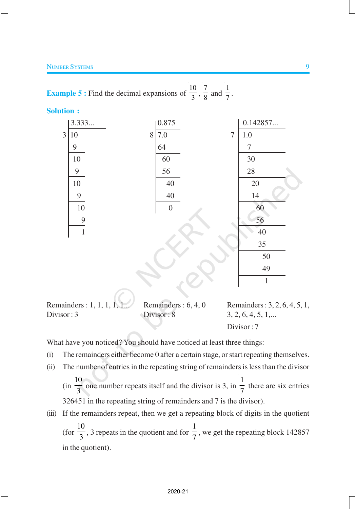**Example 5 :** Find the decimal expansions of  $\frac{10}{2}$  $\frac{10}{3}, \frac{7}{8}$  $\frac{7}{8}$  and  $\frac{1}{7}$  $\frac{1}{7}$ .

**Solution :**



Remainders : 1, 1, 1, 1, 1... Remainders : 6, 4, 0 Remainders : 3, 2, 6, 4, 5, 1,  $Divisor: 3$  Divisor: 8  $3, 2, 6, 4, 5, 1,...$ Divisor : 7

What have you noticed? You should have noticed at least three things:

- (i) The remainders either become 0 after a certain stage, or start repeating themselves.
- (ii) The number of entries in the repeating string of remainders is less than the divisor
	- (in 10  $\frac{3}{3}$  one number repeats itself and the divisor is 3, in 1  $\frac{1}{7}$  there are six entries 326451 in the repeating string of remainders and 7 is the divisor).
- (iii) If the remainders repeat, then we get a repeating block of digits in the quotient (for 10  $\frac{1}{3}$ , 3 repeats in the quotient and for 1  $\frac{1}{7}$ , we get the repeating block 142857 in the quotient).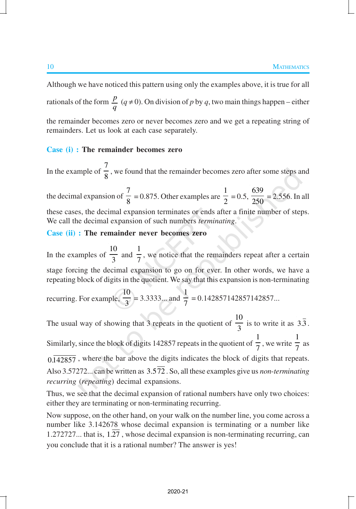Although we have noticed this pattern using only the examples above, it is true for all rationals of the form  $\frac{p}{q}$  ( $q \neq 0$ ). On division of *p* by *q*, two main things happen – either the remainder becomes zero or never becomes zero and we get a repeating string of remainders. Let us look at each case separately.

#### **Case (i) : The remainder becomes zero**

In the example of 7  $\frac{1}{8}$ , we found that the remainder becomes zero after some steps and the decimal expansion of 7  $\frac{1}{8}$  = 0.875. Other examples are 1  $\frac{1}{2} = 0.5$ , 639  $\frac{250}{250}$  = 2.556. In all these cases, the decimal expansion terminates or ends after a finite number of steps. We call the decimal expansion of such numbers *terminating*.

## **Case (ii) : The remainder never becomes zero**

In the examples of 10  $\frac{1}{3}$  and 1 7 , we notice that the remainders repeat after a certain stage forcing the decimal expansion to go on for ever. In other words, we have a repeating block of digits in the quotient. We say that this expansion is non-terminating

recurring. For example, 
$$
\frac{10}{3}
$$
 = 3.3333... and  $\frac{1}{7}$  = 0.142857142857142857...

The usual way of showing that 3 repeats in the quotient of 10  $\frac{1}{3}$  is to write it as 3.3. Similarly, since the block of digits 142857 repeats in the quotient of 1  $\frac{1}{7}$ , we write 1  $\frac{1}{7}$  as  $0.142857$ , where the bar above the digits indicates the block of digits that repeats. Also 3.57272... can be written as 3.572 . So, all these examples give us *non*-*terminating recurring* (*repeating*) decimal expansions.

Thus, we see that the decimal expansion of rational numbers have only two choices: either they are terminating or non-terminating recurring.

Now suppose, on the other hand, on your walk on the number line, you come across a number like 3.142678 whose decimal expansion is terminating or a number like 1.272727... that is, 1.27 , whose decimal expansion is non-terminating recurring, can you conclude that it is a rational number? The answer is yes!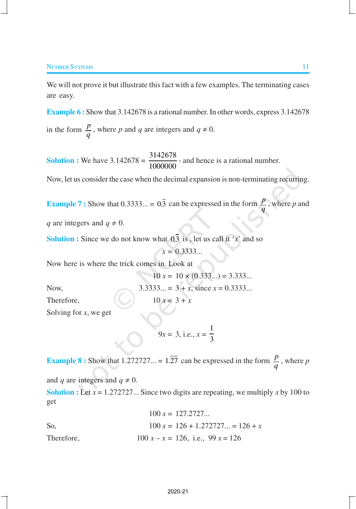We will not prove it but illustrate this fact with a few examples. The terminating cases are easy.

**Example 6 :** Show that 3.142678 is a rational number. In other words, express 3.142678 in the form  $\frac{p}{q}$ , where *p* and *q* are integers and  $q \neq 0$ .

**Solution :** We have  $3.142678 = \frac{3142678}{10000000}$ 1000000 , and hence is a rational number.

Now, let us consider the case when the decimal expansion is non-terminating recurring.

**Example 7 :** Show that 0.3333... =  $0.\overline{3}$  can be expressed in the form  $\frac{p}{q}$ , where *p* and

*q* are integers and  $q \neq 0$ .

**Solution :** Since we do not know what 0.3 is, let us call it ' $x$ ' and so

*x* = 0.3333...

Now here is where the trick comes in. Look at

$$
10 x = 10 \times (0.333...) = 3.333...
$$
  
Now,  

$$
3.3333... = 3 + x
$$
, since  $x = 0.3333...$ 

Therefore,  $10 x = 3 + x$ 

Solving for *x*, we get

$$
9x = 3, \text{ i.e., } x = \frac{1}{3}
$$

**Example 8 :** Show that 1.272727... = 1.27 can be expressed in the form  $\frac{p}{q}$ , where *p* and *q* are integers and  $q \neq 0$ . **Solution :** Let  $x = 1.272727...$  Since two digits are repeating, we multiply x by 100 to

get

$$
100 x = 127.2727...
$$
  
So,  

$$
100 x = 126 + 1.272727... = 126 + x
$$
  
Therefore,  

$$
100 x - x = 126
$$
, i.e., 99 x = 126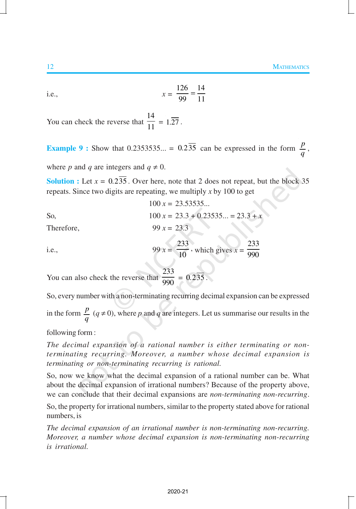i.e., 
$$
x = \frac{126}{99} = \frac{14}{11}
$$

You can check the reverse that 14  $\frac{1}{11}$  = 1.27.

**Example 9 :** Show that 0.2353535... =  $0.2\overline{35}$  can be expressed in the form  $\frac{p}{q}$ ,

where *p* and *q* are integers and  $q \neq 0$ .

**Solution :** Let  $x = 0.235$ . Over here, note that 2 does not repeat, but the block 35 repeats. Since two digits are repeating, we multiply *x* by 100 to get

 $100 x = 23.53535...$ 

So, 
$$
100 x = 23.3 + 0.23535... = 23.3 + x
$$

Therefore, 99  $x = 23.3$ 

i.e., 
$$
99 x = \frac{233}{10}
$$
, which gives  $x = \frac{233}{990}$ 

You can also check the reverse that 233  $\frac{1}{990}$  = 0.235.

So, every number with a non-terminating recurring decimal expansion can be expressed in the form  $\frac{p}{q}$  ( $q \neq 0$ ), where *p* and *q* are integers. Let us summarise our results in the

following form :

*The decimal expansion of a rational number is either terminating or nonterminating recurring. Moreover, a number whose decimal expansion is terminating or non-terminating recurring is rational.*

So, now we know what the decimal expansion of a rational number can be. What about the decimal expansion of irrational numbers? Because of the property above, we can conclude that their decimal expansions are *non-terminating non-recurring*.

So, the property for irrational numbers, similar to the property stated above for rational numbers, is

*The decimal expansion of an irrational number is non-terminating non-recurring. Moreover, a number whose decimal expansion is non-terminating non-recurring is irrational.*

2020-21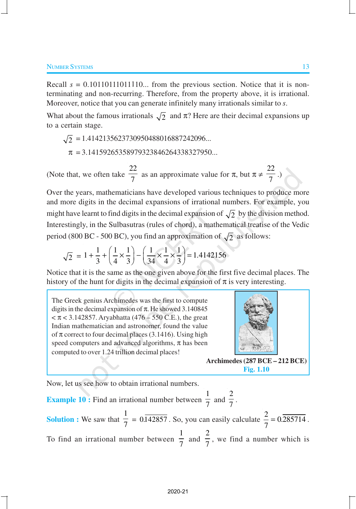Recall  $s = 0.10110111110...$  from the previous section. Notice that it is nonterminating and non-recurring. Therefore, from the property above, it is irrational. Moreover, notice that you can generate infinitely many irrationals similar to *s*.

What about the famous irrationals  $\sqrt{2}$  and  $\pi$ ? Here are their decimal expansions up to a certain stage.

$$
\sqrt{2} = 1.4142135623730950488016887242096...
$$
  

$$
\pi = 3.14159265358979323846264338327950...
$$

(Note that, we often take 22  $\frac{1}{7}$  as an approximate value for  $\pi$ , but  $\pi \neq$ 22  $\frac{1}{7}$ .)

Over the years, mathematicians have developed various techniques to produce more and more digits in the decimal expansions of irrational numbers. For example, you might have learnt to find digits in the decimal expansion of  $\sqrt{2}$  by the division method. Interestingly, in the Sulbasutras (rules of chord), a mathematical treatise of the Vedic period (800 BC - 500 BC), you find an approximation of  $\sqrt{2}$  as follows:

$$
\sqrt{2} = 1 + \frac{1}{3} + \left(\frac{1}{4} \times \frac{1}{3}\right) - \left(\frac{1}{34} \times \frac{1}{4} \times \frac{1}{3}\right) = 1.4142156
$$

Notice that it is the same as the one given above for the first five decimal places. The history of the hunt for digits in the decimal expansion of  $\pi$  is very interesting.

The Greek genius Archimedes was the first to compute digits in the decimal expansion of  $\pi$ . He showed 3.140845  $< \pi < 3.142857$ . Aryabhatta (476 – 550 C.E.), the great Indian mathematician and astronomer, found the value of  $\pi$  correct to four decimal places (3.1416). Using high speed computers and advanced algorithms,  $\pi$  has been computed to over 1.24 trillion decimal places!



**Archimedes (287 BCE – 212 BCE) Fig. 1.10**

Now, let us see how to obtain irrational numbers.

**Example 10 :** Find an irrational number between 1  $\overline{7}$  and 2  $\frac{1}{7}$ . **Solution :** We saw that 1  $\frac{1}{7}$  = 0.142857. So, you can easily calculate  $\frac{2}{7}$  = 0.285714 7  $= 0.285714$ . To find an irrational number between 1  $\frac{1}{7}$  and 2  $\frac{1}{7}$ , we find a number which is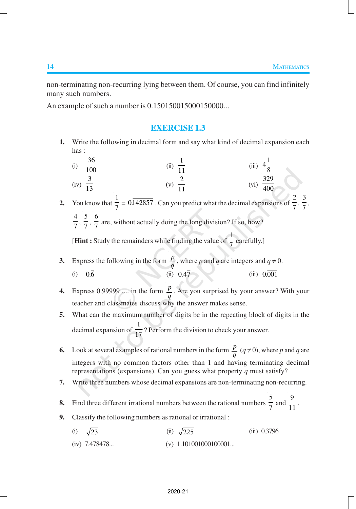non-terminating non-recurring lying between them. Of course, you can find infinitely many such numbers.

An example of such a number is 0.150150015000150000...

#### **EXERCISE 1.3**

- **1.** Write the following in decimal form and say what kind of decimal expansion each has :
- (i)  $\frac{36}{100}$  $\frac{36}{100}$  (ii)  $\frac{1}{11}$ 11 (iii) 1 4 8  $(iv) \frac{3}{12}$  $\frac{1}{13}$  (v) (v)  $\frac{2}{11}$  $\frac{2}{11}$  (vi)  $\frac{329}{400}$ 400 **2.** You know that  $\frac{1}{7}$  $\frac{1}{7}$  = 0.142857. Can you predict what the decimal expansions of  $\frac{2}{7}$  $\frac{2}{7}, \frac{3}{7}$ 7 ,
	- 4  $\frac{4}{7}, \frac{5}{7}$  $\frac{5}{7}, \frac{6}{7}$ 7 are, without actually doing the long division? If so, how?

**[Hint :** Study the remainders while finding the value of  $\frac{1}{7}$ 7 carefully.]

- **3.** Express the following in the form  $\frac{p}{q}$ , where *p* and *q* are integers and  $q \neq 0$ . (i) 0.6 *(ii)* 0.47 *(iii)* 0.47 *(iii)* 0.001
- **4.** Express 0.99999 .... in the form  $\frac{p}{q}$ . Are you surprised by your answer? With your teacher and classmates discuss why the answer makes sense.
- **5.** What can the maximum number of digits be in the repeating block of digits in the decimal expansion of  $\frac{1}{17}$ ? Perform the division to check your answer.
- **6.** Look at several examples of rational numbers in the form  $\frac{p}{q}$   $(q \neq 0)$ , where *p* and *q* are integers with no common factors other than 1 and having terminating decimal representations (expansions). Can you guess what property *q* must satisfy?
- **7.** Write three numbers whose decimal expansions are non-terminating non-recurring.
- **8.** Find three different irrational numbers between the rational numbers  $\frac{5}{7}$  $\frac{5}{7}$  and  $\frac{9}{11}$  $\frac{1}{11}$ .
- **9.** Classify the following numbers as rational or irrational:
	- (i)  $\sqrt{23}$  (ii)  $\sqrt{225}$  (iii) 0.3796 (iv)  $7.478478...$  (v)  $1.101001000100001...$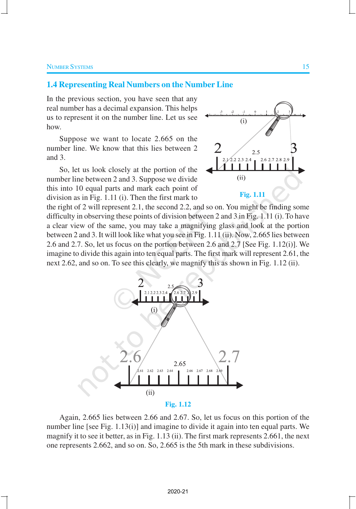#### **1.4 Representing Real Numbers on the Number Line**

In the previous section, you have seen that any real number has a decimal expansion. This helps us to represent it on the number line. Let us see how.

Suppose we want to locate 2.665 on the number line. We know that this lies between 2 and 3.

So, let us look closely at the portion of the number line between 2 and 3. Suppose we divide this into 10 equal parts and mark each point of division as in Fig. 1.11 (i). Then the first mark to



the right of 2 will represent 2.1, the second 2.2, and so on. You might be finding some difficulty in observing these points of division between 2 and 3 in Fig. 1.11 (i). To have a clear view of the same, you may take a magnifying glass and look at the portion between 2 and 3. It will look like what you see in Fig. 1.11 (ii). Now, 2.665 lies between 2.6 and 2.7. So, let us focus on the portion between 2.6 and 2.7 [See Fig. 1.12(i)]. We imagine to divide this again into ten equal parts. The first mark will represent 2.61, the next 2.62, and so on. To see this clearly, we magnify this as shown in Fig. 1.12 (ii).



Again, 2.665 lies between 2.66 and 2.67. So, let us focus on this portion of the number line [see Fig. 1.13(i)] and imagine to divide it again into ten equal parts. We magnify it to see it better, as in Fig. 1.13 (ii). The first mark represents 2.661, the next one represents 2.662, and so on. So, 2.665 is the 5th mark in these subdivisions.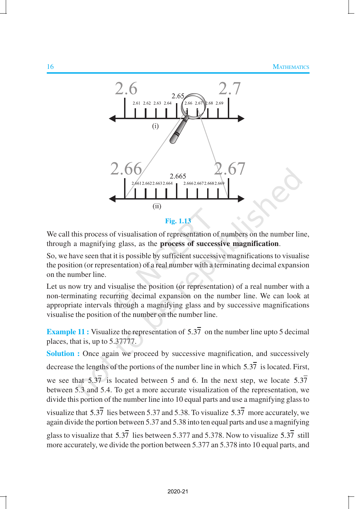

We call this process of visualisation of representation of numbers on the number line, through a magnifying glass, as the **process of successive magnification**.

So, we have seen that it is possible by sufficient successive magnifications to visualise the position (or representation) of a real number with a terminating decimal expansion on the number line.

Let us now try and visualise the position (or representation) of a real number with a non-terminating recurring decimal expansion on the number line. We can look at appropriate intervals through a magnifying glass and by successive magnifications visualise the position of the number on the number line.

**Example 11 :** Visualize the representation of  $5.3\overline{7}$  on the number line upto 5 decimal places, that is, up to 5.37777.

**Solution :** Once again we proceed by successive magnification, and successively decrease the lengths of the portions of the number line in which 5.37 is located. First, we see that  $5.3\overline{7}$  is located between 5 and 6. In the next step, we locate  $5.3\overline{7}$ between 5.3 and 5.4. To get a more accurate visualization of the representation, we divide this portion of the number line into 10 equal parts and use a magnifying glass to visualize that  $5.37$  lies between 5.37 and 5.38. To visualize  $5.37$  more accurately, we again divide the portion between 5.37 and 5.38 into ten equal parts and use a magnifying glass to visualize that  $5.37$  lies between  $5.377$  and  $5.378$ . Now to visualize  $5.37$  still more accurately, we divide the portion between 5.377 an 5.378 into 10 equal parts, and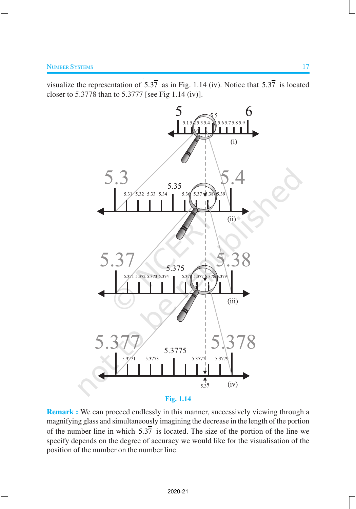visualize the representation of  $5.3\overline{7}$  as in Fig. 1.14 (iv). Notice that  $5.3\overline{7}$  is located closer to 5.3778 than to 5.3777 [see Fig 1.14 (iv)].



**Remark :** We can proceed endlessly in this manner, successively viewing through a magnifying glass and simultaneously imagining the decrease in the length of the portion of the number line in which  $5.3\overline{7}$  is located. The size of the portion of the line we specify depends on the degree of accuracy we would like for the visualisation of the position of the number on the number line.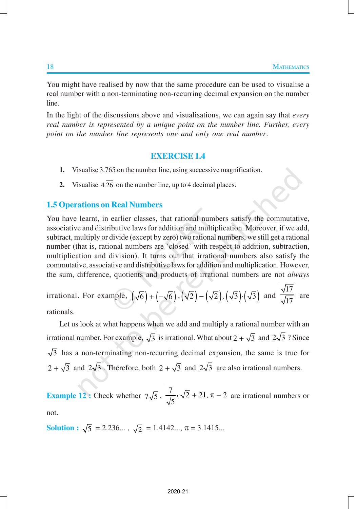You might have realised by now that the same procedure can be used to visualise a real number with a non-terminating non-recurring decimal expansion on the number line.

In the light of the discussions above and visualisations, we can again say that *every real number is represented by a unique point on the number line. Further, every point on the number line represents one and only one real number*.

#### **EXERCISE 1.4**

- **1.** Visualise 3.765 on the number line, using successive magnification.
- **2.** Visualise  $4.\overline{26}$  on the number line, up to 4 decimal places.

### **1.5 Operations on Real Numbers**

You have learnt, in earlier classes, that rational numbers satisfy the commutative, associative and distributive laws for addition and multiplication. Moreover, if we add, subtract, multiply or divide (except by zero) two rational numbers, we still get a rational number (that is, rational numbers are 'closed' with respect to addition, subtraction, multiplication and division). It turns out that irrational numbers also satisfy the commutative, associative and distributive laws for addition and multiplication. However, the sum, difference, quotients and products of irrational numbers are not *always*

irrational. For example, 
$$
(\sqrt{6}) + (-\sqrt{6}), (\sqrt{2}) - (\sqrt{2}), (\sqrt{3}) \cdot (\sqrt{3})
$$
 and  $\frac{\sqrt{17}}{\sqrt{17}}$  are rationals.

rationals.

Let us look at what happens when we add and multiply a rational number with an irrational number. For example,  $\sqrt{3}$  is irrational. What about  $2 + \sqrt{3}$  and  $2\sqrt{3}$ ? Since  $\sqrt{3}$  has a non-terminating non-recurring decimal expansion, the same is true for  $2 + \sqrt{3}$  and  $2\sqrt{3}$ . Therefore, both  $2 + \sqrt{3}$  and  $2\sqrt{3}$  are also irrational numbers.

**Example 12 :** Check whether  $7\sqrt{5}$ ,  $\frac{7}{\sqrt{5}}$ ,  $\sqrt{2}$  + 21,  $\pi$  – 2 5  $\sqrt{2} + 21$ ,  $\pi - 2$  are irrational numbers or not.

**Solution :**  $\sqrt{5}$  = 2.236...,  $\sqrt{2}$  = 1.4142...,  $\pi$  = 3.1415...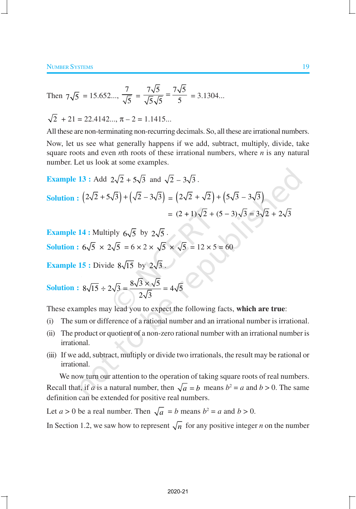Then 
$$
7\sqrt{5} = 15.652...
$$
,  $\frac{7}{\sqrt{5}} = \frac{7\sqrt{5}}{\sqrt{5}\sqrt{5}} = \frac{7\sqrt{5}}{5} = 3.1304...$ 

 $\sqrt{2} + 21 = 22.4142...$ ,  $\pi - 2 = 1.1415...$ 

All these are non-terminating non-recurring decimals. So, all these are irrational numbers.

Now, let us see what generally happens if we add, subtract, multiply, divide, take square roots and even *n*th roots of these irrational numbers, where *n* is any natural number. Let us look at some examples.

Example 13: Add 
$$
2\sqrt{2} + 5\sqrt{3}
$$
 and  $\sqrt{2} - 3\sqrt{3}$ .  
\nSolution:  $(2\sqrt{2} + 5\sqrt{3}) + (\sqrt{2} - 3\sqrt{3}) = (2\sqrt{2} + \sqrt{2}) + (5\sqrt{3} - 3\sqrt{3})$   
\n $= (2 + 1)\sqrt{2} + (5 - 3)\sqrt{3} = 3\sqrt{2} + 2\sqrt{3}$ 

**Example 14 :** Multiply  $6\sqrt{5}$  by  $2\sqrt{5}$ . **Solution :**  $6\sqrt{5} \times 2\sqrt{5} = 6 \times 2 \times \sqrt{5} \times \sqrt{5} = 12 \times 5 = 60$ 

**Example 15 :** Divide  $8\sqrt{15}$  by  $2\sqrt{3}$ 

Solution: 
$$
8\sqrt{15} \div 2\sqrt{3} = \frac{8\sqrt{3} \times \sqrt{5}}{2\sqrt{3}} = 4\sqrt{5}
$$

These examples may lead you to expect the following facts, **which are true**:

- (i) The sum or difference of a rational number and an irrational number is irrational.
- (ii) The product or quotient of a non-zero rational number with an irrational number is irrational.
- (iii) If we add, subtract, multiply or divide two irrationals, the result may be rational or irrational.

We now turn our attention to the operation of taking square roots of real numbers. Recall that, if *a* is a natural number, then  $\sqrt{a} = b$  means  $b^2 = a$  and  $b > 0$ . The same definition can be extended for positive real numbers.

Let  $a > 0$  be a real number. Then  $\sqrt{a} = b$  means  $b^2 = a$  and  $b > 0$ .

In Section 1.2, we saw how to represent  $\sqrt{n}$  for any positive integer *n* on the number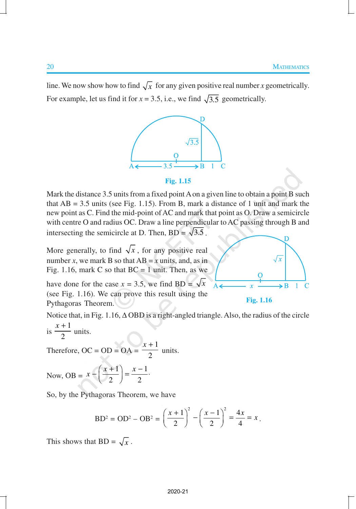line. We now show how to find  $\sqrt{x}$  for any given positive real number *x* geometrically. For example, let us find it for  $x = 3.5$ , i.e., we find  $\sqrt{3.5}$  geometrically.



#### **Fig. 1.15**

Mark the distance 3.5 units from a fixed point A on a given line to obtain a point B such that  $AB = 3.5$  units (see Fig. 1.15). From B, mark a distance of 1 unit and mark the new point as C. Find the mid-point of AC and mark that point as O. Draw a semicircle with centre O and radius OC. Draw a line perpendicular to AC passing through B and intersecting the semicircle at D. Then,  $BD = \sqrt{3.5}$ .

More generally, to find  $\sqrt{x}$ , for any positive real number *x*, we mark B so that  $AB = x$  units, and, as in Fig. 1.16, mark C so that  $BC = 1$  unit. Then, as we

have done for the case  $x = 3.5$ , we find BD =  $\sqrt{x}$ (see Fig. 1.16). We can prove this result using the Pythagoras Theorem.

**Fig. 1.16**

Notice that, in Fig. 1.16, ∆ OBD is a right-angled triangle. Also, the radius of the circle  $x + 1$ 

is 
$$
\frac{n+1}{2}
$$
 units.

Therefore,  $OC = OD = OA =$ 1 2 *x* + units.

Now, OB = 
$$
x - \left(\frac{x+1}{2}\right) = \frac{x-1}{2}
$$
.

So, by the Pythagoras Theorem, we have

$$
BD^{2} = OD^{2} - OB^{2} = \left(\frac{x+1}{2}\right)^{2} - \left(\frac{x-1}{2}\right)^{2} = \frac{4x}{4} = x.
$$

This shows that  $BD = \sqrt{x}$ .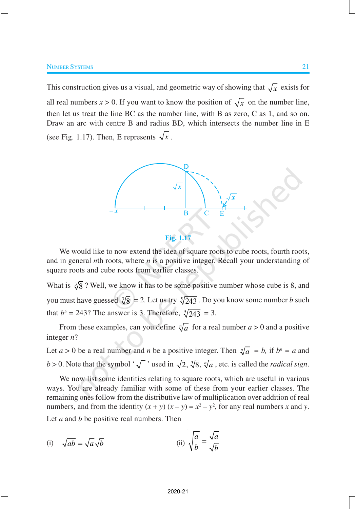This construction gives us a visual, and geometric way of showing that  $\sqrt{x}$  exists for all real numbers  $x > 0$ . If you want to know the position of  $\sqrt{x}$  on the number line, then let us treat the line BC as the number line, with B as zero, C as 1, and so on. Draw an arc with centre B and radius BD, which intersects the number line in E (see Fig. 1.17). Then, E represents  $\sqrt{x}$ .



**Fig. 1.17**

We would like to now extend the idea of square roots to cube roots, fourth roots, and in general *n*th roots, where *n* is a positive integer. Recall your understanding of square roots and cube roots from earlier classes.

What is  $\sqrt[3]{8}$  ? Well, we know it has to be some positive number whose cube is 8, and you must have guessed  $\sqrt[3]{8} = 2$ . Let us try  $\sqrt[5]{243}$  . Do you know some number *b* such that  $b^5 = 243$ ? The answer is 3. Therefore,  $\sqrt[5]{243} = 3$ .

From these examples, can you define  $\sqrt[n]{a}$  for a real number  $a > 0$  and a positive integer *n*?

Let  $a > 0$  be a real number and *n* be a positive integer. Then  $\sqrt[n]{a} = b$ , if  $b^n = a$  and *b* > 0. Note that the symbol ' $\sqrt{\ }$ ' used in  $\sqrt{2}$ ,  $\sqrt[3]{8}$ ,  $\sqrt[n]{a}$ , etc. is called the *radical sign*.

We now list some identities relating to square roots, which are useful in various ways. You are already familiar with some of these from your earlier classes. The remaining ones follow from the distributive law of multiplication over addition of real numbers, and from the identity  $(x + y) (x - y) = x^2 - y^2$ , for any real numbers *x* and *y*. Let *a* and *b* be positive real numbers. Then

(i) 
$$
\sqrt{ab} = \sqrt{a}\sqrt{b}
$$
 (ii)  $\sqrt{\frac{a}{b}} = \frac{\sqrt{a}}{\sqrt{b}}$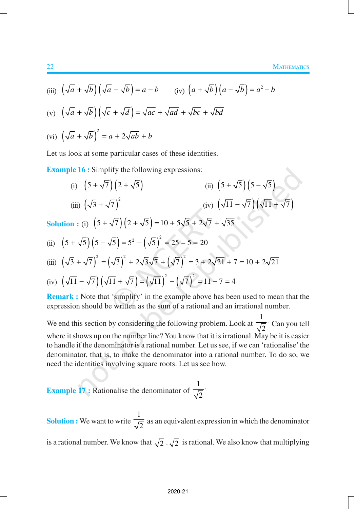(iii) 
$$
(\sqrt{a} + \sqrt{b})(\sqrt{a} - \sqrt{b}) = a - b
$$
 (iv)  $(a + \sqrt{b})(a - \sqrt{b}) = a^2 - b$ 

(v) 
$$
(\sqrt{a} + \sqrt{b})(\sqrt{c} + \sqrt{d}) = \sqrt{ac} + \sqrt{ad} + \sqrt{bc} + \sqrt{bd}
$$

$$
(vi) \left(\sqrt{a} + \sqrt{b}\right)^2 = a + 2\sqrt{ab} + b
$$

Let us look at some particular cases of these identities.

**Example 16 :** Simplify the following expressions:

(i) 
$$
\left(5+\sqrt{7}\right)\left(2+\sqrt{5}\right)
$$
  
\n(ii)  $\left(5+\sqrt{5}\right)\left(5-\sqrt{5}\right)$   
\n(iii)  $\left(\sqrt{3}+\sqrt{7}\right)^2$   
\n(iv)  $\left(\sqrt{11}-\sqrt{7}\right)\left(\sqrt{11}+\sqrt{7}\right)$   
\nSolution: (i)  $\left(5+\sqrt{7}\right)\left(2+\sqrt{5}\right) = 10+5\sqrt{5}+2\sqrt{7}+\sqrt{35}$ 

(ii) 
$$
(5 + \sqrt{5})(5 - \sqrt{5}) = 5^2 - (\sqrt{5})^2 = 25 - 5 = 20
$$

(iii) 
$$
(\sqrt{3} + \sqrt{7})^2 = (\sqrt{3})^2 + 2\sqrt{3}\sqrt{7} + (\sqrt{7})^2 = 3 + 2\sqrt{21} + 7 = 10 + 2\sqrt{21}
$$

(iv) 
$$
(\sqrt{11} - \sqrt{7})(\sqrt{11} + \sqrt{7}) = (\sqrt{11})^2 - (\sqrt{7})^2 = 11 - 7 = 4
$$

**Remark :** Note that 'simplify' in the example above has been used to mean that the expression should be written as the sum of a rational and an irrational number.

We end this section by considering the following problem. Look at 1 2 ⋅ Can you tell where it shows up on the number line? You know that it is irrational. May be it is easier to handle if the denominator is a rational number. Let us see, if we can 'rationalise' the denominator, that is, to make the denominator into a rational number. To do so, we need the identities involving square roots. Let us see how.

**Example 17 : Rationalise the denominator of** 1 2 ⋅

**Solution :** We want to write 1  $\frac{1}{2}$  as an equivalent expression in which the denominator is a rational number. We know that  $\sqrt{2} \cdot \sqrt{2}$  is rational. We also know that multiplying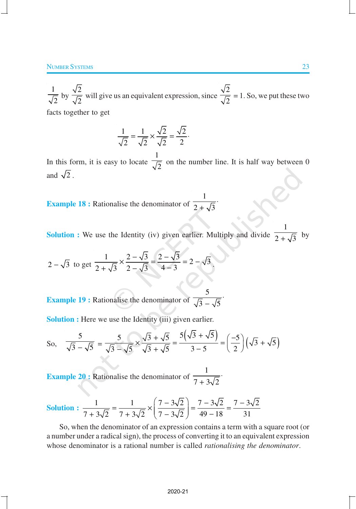1  $\frac{1}{2}$  by 2  $\frac{1}{2}$  will give us an equivalent expression, since 2  $\frac{2}{2}$  = 1. So, we put these two facts together to get

$$
\frac{1}{\sqrt{2}} = \frac{1}{\sqrt{2}} \times \frac{\sqrt{2}}{\sqrt{2}} = \frac{\sqrt{2}}{2}.
$$

In this form, it is easy to locate 1  $\frac{1}{2}$  on the number line. It is half way between 0 and  $\sqrt{2}$ .

**Example 18 :** Rationalise the denominator of 1  $2 + \sqrt{3}$ ⋅ +

**Solution :** We use the Identity (iv) given earlier. Multiply and divide 1  $2 + \sqrt{3}$ by

$$
2-\sqrt{3}
$$
 to get  $\frac{1}{2+\sqrt{3}} \times \frac{2-\sqrt{3}}{2-\sqrt{3}} = \frac{2-\sqrt{3}}{4-3} = 2-\sqrt{3}$ .

**Example 19 :** Rationalise the denominator of 5  $3 - \sqrt{5}$ ⋅ −

**Solution :** Here we use the Identity (iii) given earlier.

So, 
$$
\frac{5}{\sqrt{3}-\sqrt{5}} = \frac{5}{\sqrt{3}-\sqrt{5}} \times \frac{\sqrt{3}+\sqrt{5}}{\sqrt{3}+\sqrt{5}} = \frac{5(\sqrt{3}+\sqrt{5})}{3-5} = \left(\frac{-5}{2}\right)(\sqrt{3}+\sqrt{5})
$$

**Example 20 :** Rationalise the denominator of 1  $7 + 3\sqrt{2}$ ⋅ +

Solution: 
$$
\frac{1}{7+3\sqrt{2}} = \frac{1}{7+3\sqrt{2}} \times \left(\frac{7-3\sqrt{2}}{7-3\sqrt{2}}\right) = \frac{7-3\sqrt{2}}{49-18} = \frac{7-3\sqrt{2}}{31}
$$

So, when the denominator of an expression contains a term with a square root (or a number under a radical sign), the process of converting it to an equivalent expression whose denominator is a rational number is called *rationalising the denominator*.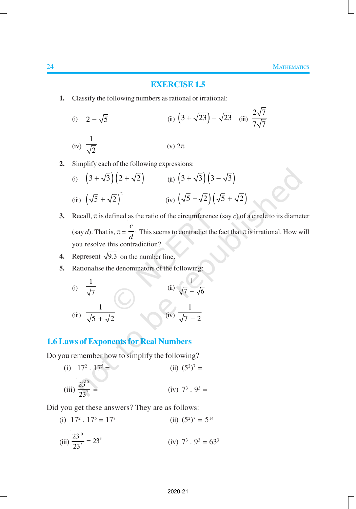### **EXERCISE 1.5**

**1.** Classify the following numbers as rational or irrational:

(i) 
$$
2 - \sqrt{5}
$$
  
\n(ii)  $(3 + \sqrt{23}) - \sqrt{23}$  (iii)  $\frac{2\sqrt{7}}{7\sqrt{7}}$   
\n(iv)  $\frac{1}{\sqrt{2}}$   
\n(v)  $2\pi$ 

**2.** Simplify each of the following expressions:

(i) 
$$
\left(3+\sqrt{3}\right)\left(2+\sqrt{2}\right)
$$
 (ii)  $\left(3+\sqrt{3}\right)\left(3-\sqrt{3}\right)$   
(iii)  $\left(\sqrt{5}+\sqrt{2}\right)^2$  (iv)  $\left(\sqrt{5}-\sqrt{2}\right)\left(\sqrt{5}+\sqrt{2}\right)$ 

- **3.** Recall,  $\pi$  is defined as the ratio of the circumference (say *c*) of a circle to its diameter (say *d*). That is,  $\pi$  = *c*  $\frac{d}{d}$ . This seems to contradict the fact that  $\pi$  is irrational. How will you resolve this contradiction?
- **4.** Represent  $\sqrt{9.3}$  on the number line.
- **5.** Rationalise the denominators of the following:

(i) 
$$
\frac{1}{\sqrt{7}}
$$
  
\n(ii)  $\frac{1}{\sqrt{7} - \sqrt{6}}$   
\n(iii)  $\frac{1}{\sqrt{5} + \sqrt{2}}$   
\n(iv)  $\frac{1}{\sqrt{7} - 2}$ 

# **1.6 Laws of Exponents for Real Numbers**

Do you remember how to simplify the following?

(i) 
$$
17^2 \tcdot 17^5 =
$$
  
\n(ii)  $(5^2)^7 =$   
\n(iii)  $\frac{23^{10}}{23^7} =$   
\n(iv)  $7^3 \tcdot 9^3 =$ 

Did you get these answers? They are as follows:

 $(i)$   $17<sup>2</sup>$ .  $17<sup>5</sup> = 17<sup>7</sup>$ (ii)  $(5^2)^7 = 5^{14}$ (iii)  $\frac{23^{10}}{23^7} = 23^3$  $= 23^3$  (iv)  $7^3 \tcdot 9^3 = 63^3$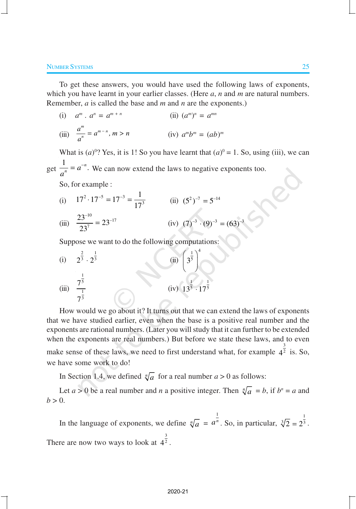To get these answers, you would have used the following laws of exponents, which you have learnt in your earlier classes. (Here *a*, *n* and *m* are natural numbers. Remember, *a* is called the base and *m* and *n* are the exponents.)

(i) 
$$
a^m \cdot a^n = a^{m+n}
$$
  
\n(ii)  $(a^m)^n = a^{mn}$   
\n(iii)  $\frac{a^m}{a^n} = a^{m-n}, m > n$   
\n(iv)  $a^m b^m = (ab)^m$ 

What is  $(a)^{0}$ ? Yes, it is 1! So you have learnt that  $(a)^{0} = 1$ . So, using (iii), we can get  $\frac{1}{n} = a^{-n}$ .  $\frac{1}{n} = a$ *a*  $= a^{-n}$ . We can now extend the laws to negative exponents too.

So, for example :

(i) 
$$
17^2 \cdot 17^{-5} = 17^{-3} = \frac{1}{17^3}
$$
  
\n(ii)  $(5^2)^{-7} = 5^{-14}$   
\n(iii)  $\frac{23^{-10}}{23^7} = 23^{-17}$   
\n(iv)  $(7)^{-3} \cdot (9)^{-3} = (63)^{-3}$ 

Suppose we want to do the following computations:

(i) 
$$
2^{\frac{2}{3}} \cdot 2^{\frac{1}{3}}
$$
  
\n(ii)  $\left(3^{\frac{1}{5}}\right)^4$   
\n(iii)  $\frac{7^{\frac{1}{5}}}{7^{\frac{1}{3}}}$   
\n(iv)  $13^{\frac{1}{5}} \cdot 17^{\frac{1}{5}}$ 

How would we go about it? It turns out that we can extend the laws of exponents that we have studied earlier, even when the base is a positive real number and the exponents are rational numbers. (Later you will study that it can further to be extended when the exponents are real numbers.) But before we state these laws, and to even make sense of these laws, we need to first understand what, for example  $4^{\frac{3}{2}}$  is. So, we have some work to do!

In Section 1.4, we defined  $\sqrt[n]{a}$  for a real number  $a > 0$  as follows:

Let  $a > 0$  be a real number and *n* a positive integer. Then  $\sqrt[n]{a} = b$ , if  $b^n = a$  and  $b > 0$ .

In the language of exponents, we define  $\sqrt[n]{a}$  = 1  $a^{\frac{1}{n}}$ . So, in particular,  $\sqrt[3]{2} = 2^{\frac{1}{3}}$ . There are now two ways to look at  $4^{\frac{3}{2}}$ .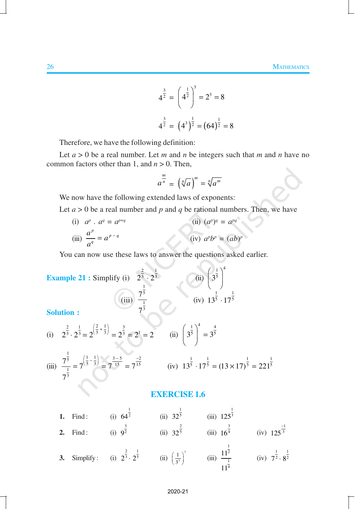$$
4^{\frac{3}{2}} = \left(4^{\frac{1}{2}}\right)^3 = 2^3 = 8
$$
  

$$
4^{\frac{3}{2}} = \left(4^3\right)^{\frac{1}{2}} = \left(64\right)^{\frac{1}{2}} = 8
$$

Therefore, we have the following definition:

Let  $a > 0$  be a real number. Let  $m$  and  $n$  be integers such that  $m$  and  $n$  have no common factors other than 1, and *n* > 0. Then,

$$
a^{\frac{m}{n}} = \left(\sqrt[n]{a}\right)^m = \sqrt[n]{a^m}
$$

We now have the following extended laws of exponents:

Let  $a > 0$  be a real number and  $p$  and  $q$  be rational numbers. Then, we have

(i)  $a^p$  .  $a^q = a^{p+q}$  $(iii) (a^p)^q = a^{pq}$ (iii)  $\int_{a}^{p}$  *p q q*  $\frac{a^p}{a} = a$ *a*  $= a^{p-q}$  (iv) *a*  $p^p b^p = (ab)^p$ 

You can now use these laws to answer the questions asked earlier.

Example 21 : Simplify (i) 
$$
2^{\frac{2}{3}} \cdot 2^{\frac{1}{3}}
$$
  
\n(ii)  $\left(3^{\frac{1}{5}}\right)^4$   
\n(iii)  $7^{\frac{1}{5}}$   
\n(iv)  $13^{\frac{1}{5}} \cdot 17^{\frac{1}{5}}$   
\nSolution :

 $\Delta$ 

(i) 
$$
2^{\frac{2}{3}} \cdot 2^{\frac{1}{3}} = 2^{\left(\frac{2}{3} + \frac{1}{3}\right)} = 2^{\frac{3}{3}} = 2^1 = 2
$$
 (ii)  $\left(3^{\frac{1}{3}}\right)^4 = 3^{\frac{4}{5}}$ 

(iii) 
$$
\frac{7^{\frac{1}{5}}}{7^{\frac{1}{3}}} = 7^{\left(\frac{1}{5} - \frac{1}{3}\right)} = 7^{\frac{3-5}{15}} = 7^{\frac{-2}{15}}
$$
 (iv)  $13^{\frac{1}{5}} \cdot 17^{\frac{1}{5}} = (13 \times 17)^{\frac{1}{5}} = 221^{\frac{1}{5}}$ 

### **EXERCISE 1.6**

| 1. | Find:     | (i) $64^2$                                  | (ii) 32 <sup>5</sup>                | $(iii)$ 125 <sup>3</sup> |                                              |
|----|-----------|---------------------------------------------|-------------------------------------|--------------------------|----------------------------------------------|
| 2. | Find:     | (i) $9^{\overline{2}}$                      | (ii) $32^{\frac{1}{5}}$             | $(iii) 16^4$             | $(iv) 125^{\overline{3}}$                    |
| 3. | Simplify: | (i) $2^{\frac{1}{3}} \cdot 2^{\frac{1}{5}}$ | (ii) $\left(\frac{1}{3^3}\right)^7$ | (iii) $\frac{11^2}{1}$   | (iv) $7^{\frac{1}{2}} \cdot 8^{\frac{1}{2}}$ |